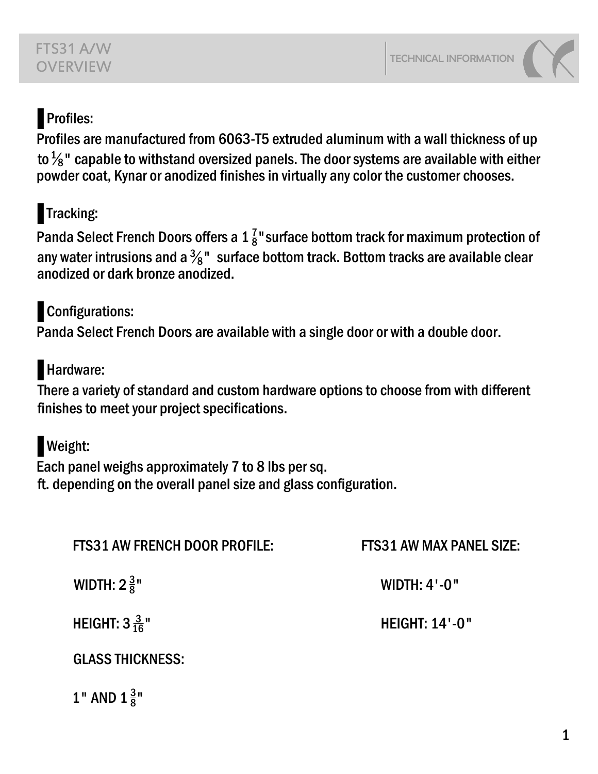## Profiles:

Profiles are manufactured from 6063-T5 extruded aluminum with a wall thickness of up to  $\frac{1}{8}$ " capable to withstand oversized panels. The door systems are available with either powder coat, Kynar or anodized finishes in virtually any color the customer chooses.

# ɱ Tracking:

Panda Select French Doors offers a 1  $\frac{7}{8}$ " surface bottom track for maximum protection of any water intrusions and a  $\frac{3}{8}$ "  $\,$  surface bottom track. Bottom tracks are available clear anodized or dark bronze anodized.

# **Configurations:**

Panda Select French Doors are available with a single door or with a double door.

## Hardware:

There a variety of standard and custom hardware options to choose from with different finishes to meet your project specifications.

## Weight:

Each panel weighs approximately 7 to 8 lbs per sq. ft. depending on the overall panel size and glass configuration.

| <b>FTS31 AW FRENCH DOOR PROFILE:</b> | <b>FTS31 AW MAX PANEL SIZE:</b> |
|--------------------------------------|---------------------------------|
| <b>WIDTH:</b> $2\frac{3}{8}$ "       | <b>WIDTH: 4'-0"</b>             |
| <b>HEIGHT:</b> $3\frac{3}{16}$ "     | <b>HEIGHT: 14'-0"</b>           |
| <b>GLASS THICKNESS:</b>              |                                 |
| 1" AND $1\frac{3}{8}$ "              |                                 |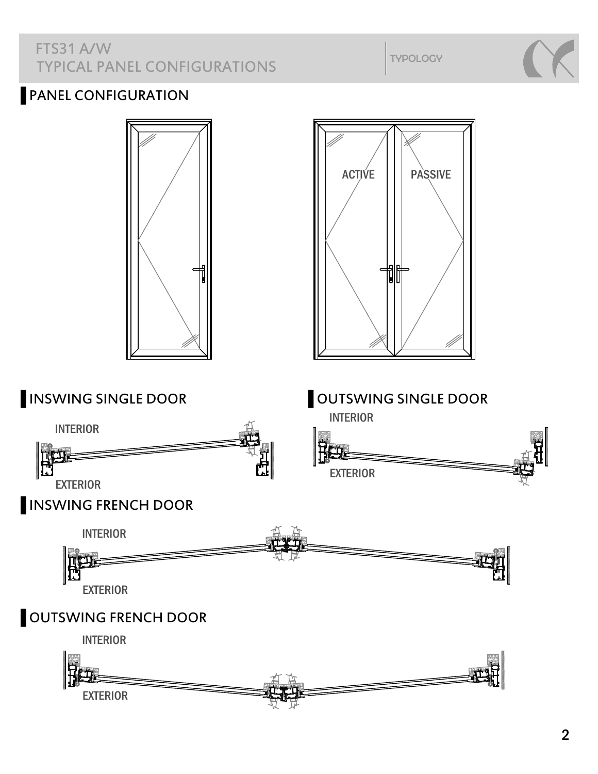#### FTS31 A/W TYPICAL PANEL CONFIGURATIONS

TYPOLOGY

### PANEL CONFIGURATION

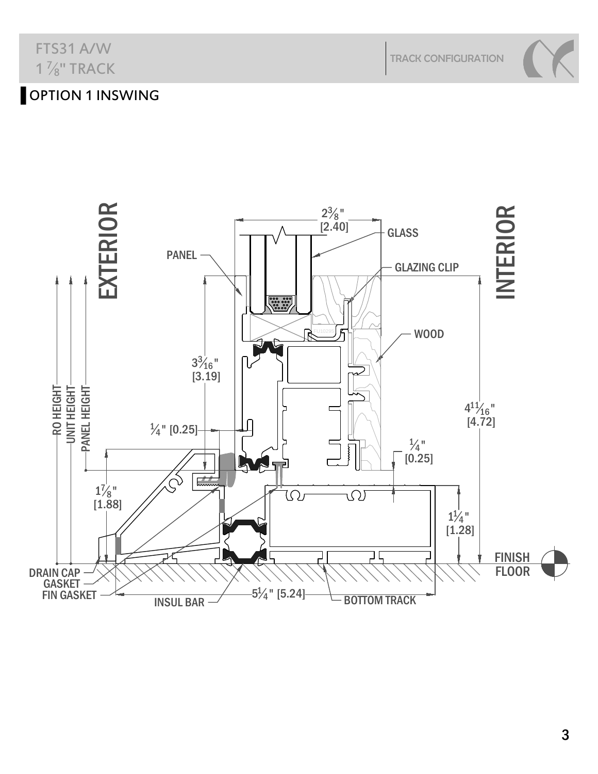## FTS31 A/W  $1\frac{7}{8}$ " TRACK

TRACK CONFIGURATION

## OPTION 1 INSWING



3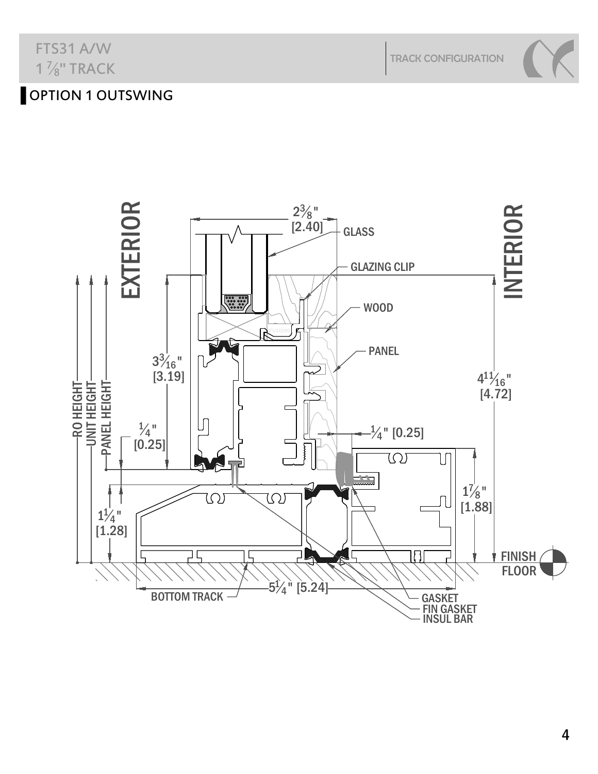## FTS31 A/W  $1\frac{7}{8}$ " TRACK

TRACK CONFIGURATION

## OPTION 1 OUTSWING

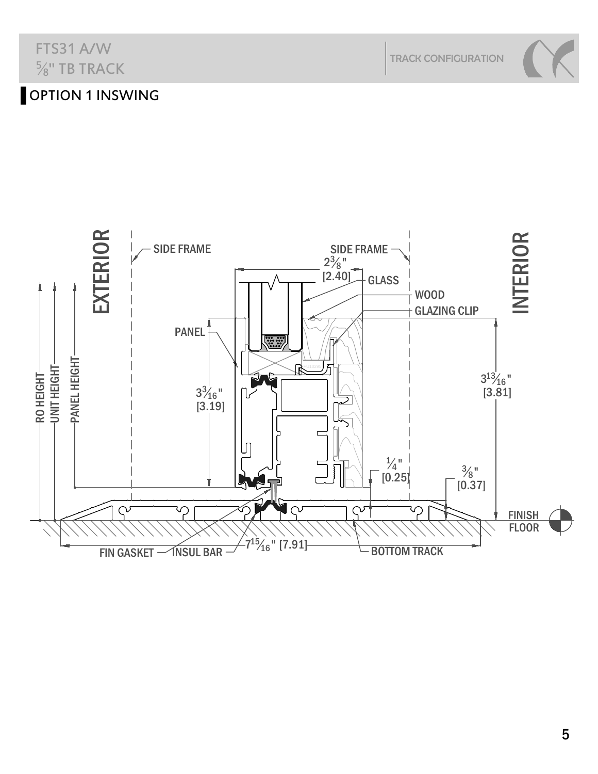

## $\frac{5}{8}$ " TB TRACK OPTION 1 INSWING

FTS31 A/W



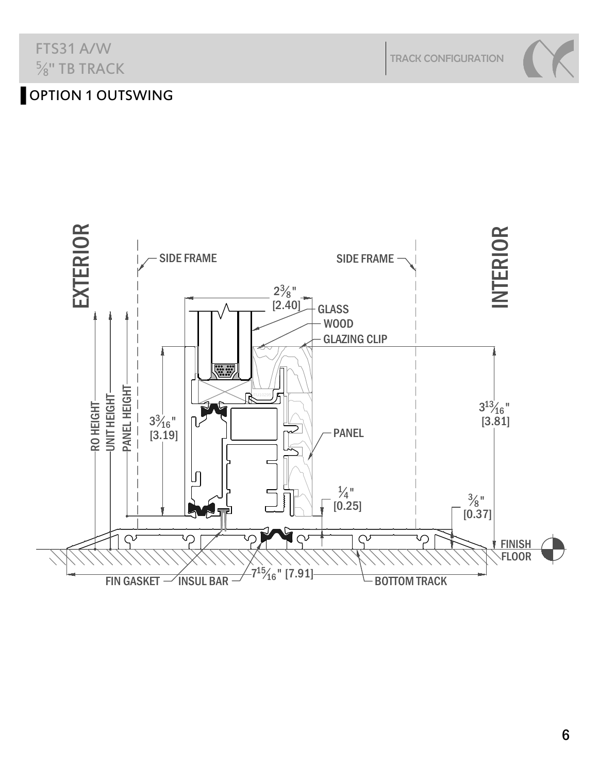FTS31 A/W  $\frac{5}{8}$ " TB TRACK

TRACK CONFIGURATION

## OPTION 1 OUTSWING

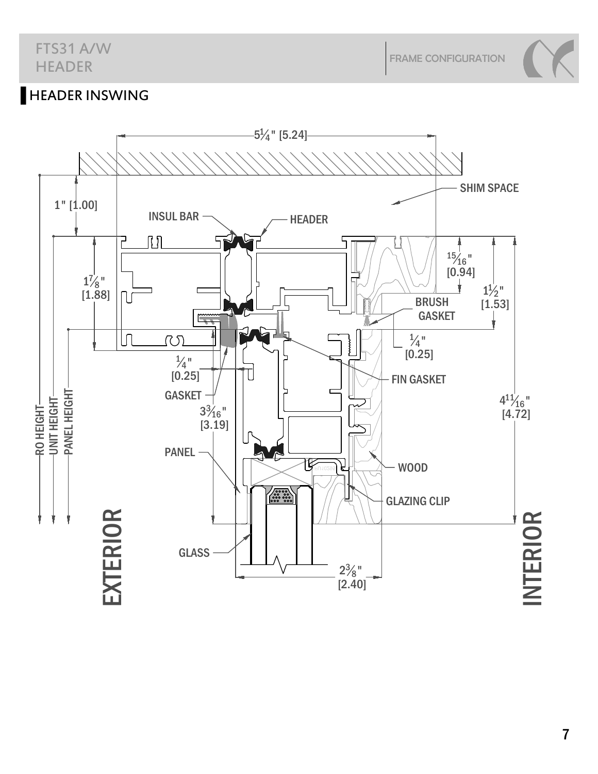FRAME CONFIGURATION

## **HEADER INSWING**



7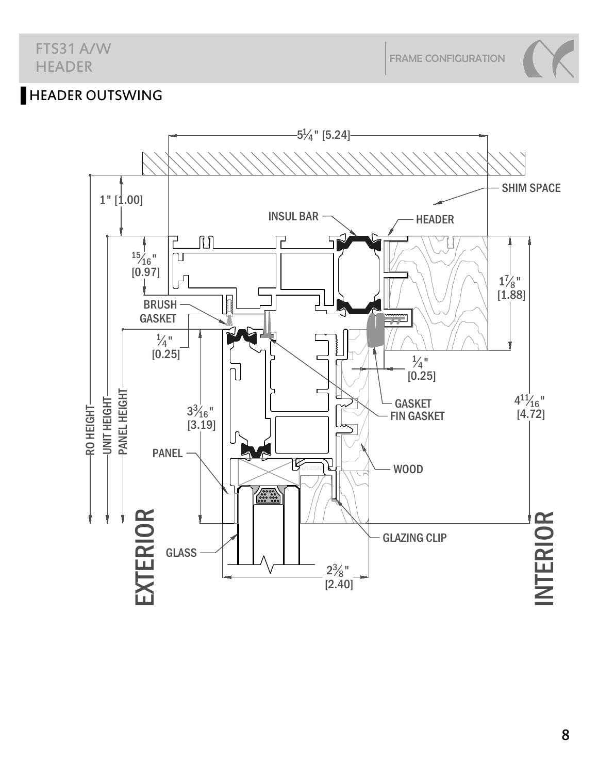#### FTS31 A/W HEADER

FRAME CONFIGURATION

## **HEADER OUTSWING**

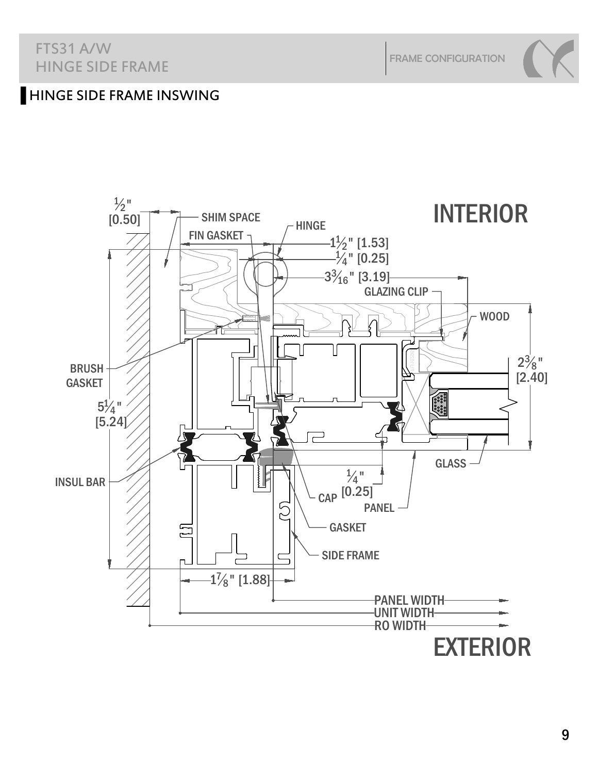#### FTS31 A/W HINGE SIDE FRAME

FRAME CONFIGURATION

#### **HINGE SIDE FRAME INSWING**

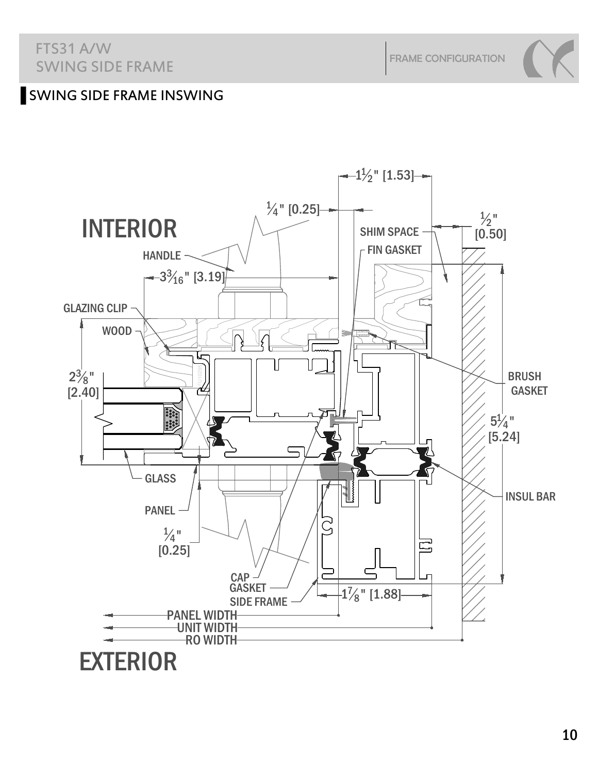#### FTS31 A/W SWING SIDE FRAME

FRAME CONFIGURATION

### Ų SWING SIDE FRAME INSWING

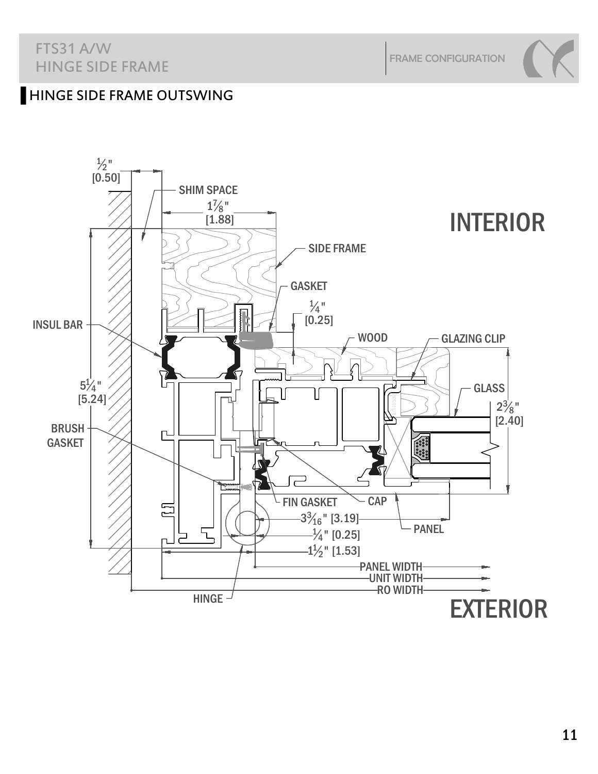#### FTS31 A/W HINGE SIDE FRAME

FRAME CONFIGURATION

#### **HINGE SIDE FRAME OUTSWING**

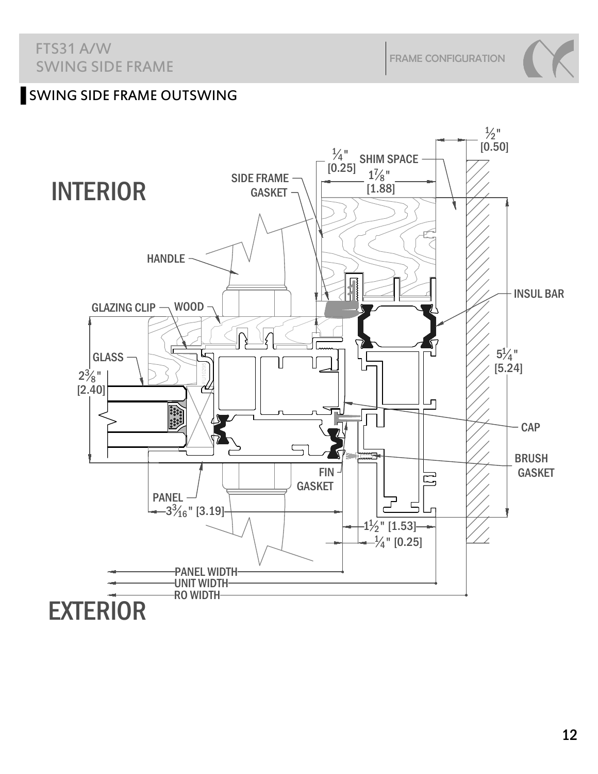#### Ų SWING SIDE FRAME OUTSWING